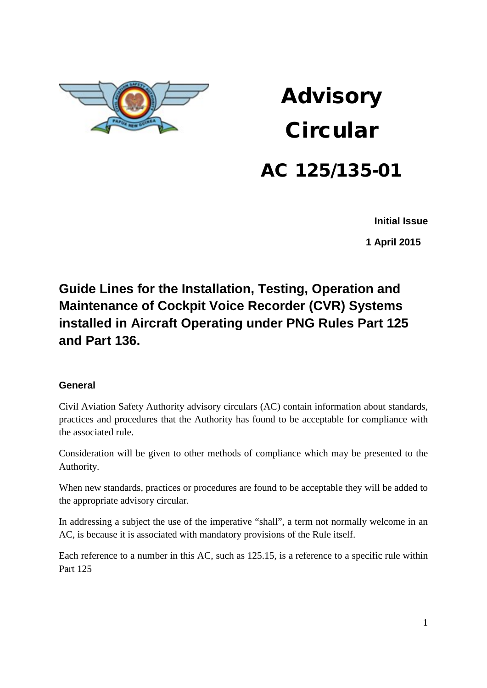

# Advisory **Circular**

## AC 125/135-01

**Initial Issue**

 **1 April 2015**

## **Guide Lines for the Installation, Testing, Operation and Maintenance of Cockpit Voice Recorder (CVR) Systems installed in Aircraft Operating under PNG Rules Part 125 and Part 136.**

#### **General**

Civil Aviation Safety Authority advisory circulars (AC) contain information about standards, practices and procedures that the Authority has found to be acceptable for compliance with the associated rule.

Consideration will be given to other methods of compliance which may be presented to the Authority.

When new standards, practices or procedures are found to be acceptable they will be added to the appropriate advisory circular.

In addressing a subject the use of the imperative "shall", a term not normally welcome in an AC, is because it is associated with mandatory provisions of the Rule itself.

Each reference to a number in this AC, such as 125.15, is a reference to a specific rule within Part 125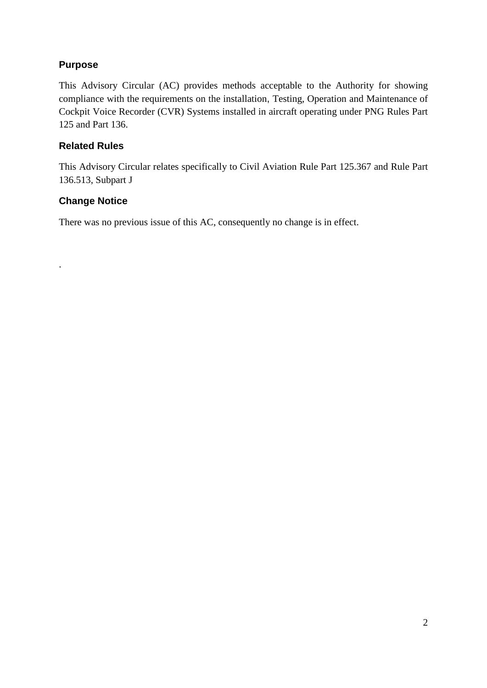#### **Purpose**

This Advisory Circular (AC) provides methods acceptable to the Authority for showing compliance with the requirements on the installation, Testing, Operation and Maintenance of Cockpit Voice Recorder (CVR) Systems installed in aircraft operating under PNG Rules Part 125 and Part 136.

#### **Related Rules**

This Advisory Circular relates specifically to Civil Aviation Rule Part 125.367 and Rule Part 136.513, Subpart J

#### **Change Notice**

.

There was no previous issue of this AC, consequently no change is in effect.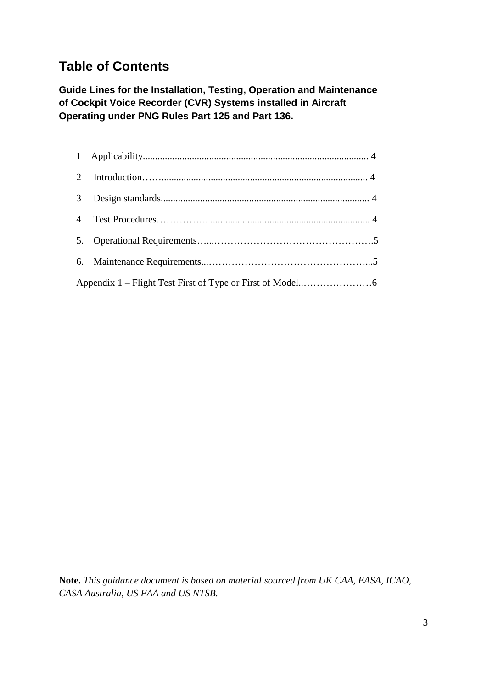### **Table of Contents**

**Guide Lines for the Installation, Testing, Operation and Maintenance of Cockpit Voice Recorder (CVR) Systems installed in Aircraft Operating under PNG Rules Part 125 and Part 136.**

**Note.** *This guidance document is based on material sourced from UK CAA, EASA, ICAO, CASA Australia, US FAA and US NTSB.*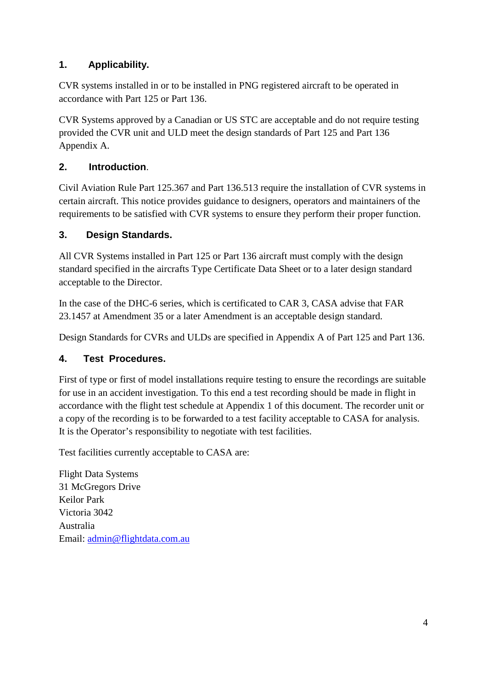#### **1. Applicability.**

CVR systems installed in or to be installed in PNG registered aircraft to be operated in accordance with Part 125 or Part 136.

CVR Systems approved by a Canadian or US STC are acceptable and do not require testing provided the CVR unit and ULD meet the design standards of Part 125 and Part 136 Appendix A.

#### **2. Introduction**.

Civil Aviation Rule Part 125.367 and Part 136.513 require the installation of CVR systems in certain aircraft. This notice provides guidance to designers, operators and maintainers of the requirements to be satisfied with CVR systems to ensure they perform their proper function.

#### **3. Design Standards.**

All CVR Systems installed in Part 125 or Part 136 aircraft must comply with the design standard specified in the aircrafts Type Certificate Data Sheet or to a later design standard acceptable to the Director.

In the case of the DHC-6 series, which is certificated to CAR 3, CASA advise that FAR 23.1457 at Amendment 35 or a later Amendment is an acceptable design standard.

Design Standards for CVRs and ULDs are specified in Appendix A of Part 125 and Part 136.

#### **4. Test Procedures.**

First of type or first of model installations require testing to ensure the recordings are suitable for use in an accident investigation. To this end a test recording should be made in flight in accordance with the flight test schedule at Appendix 1 of this document. The recorder unit or a copy of the recording is to be forwarded to a test facility acceptable to CASA for analysis. It is the Operator's responsibility to negotiate with test facilities.

Test facilities currently acceptable to CASA are:

Flight Data Systems 31 McGregors Drive Keilor Park Victoria 3042 Australia Email: [admin@flightdata.com.au](mailto:admin@flightdata.com.au)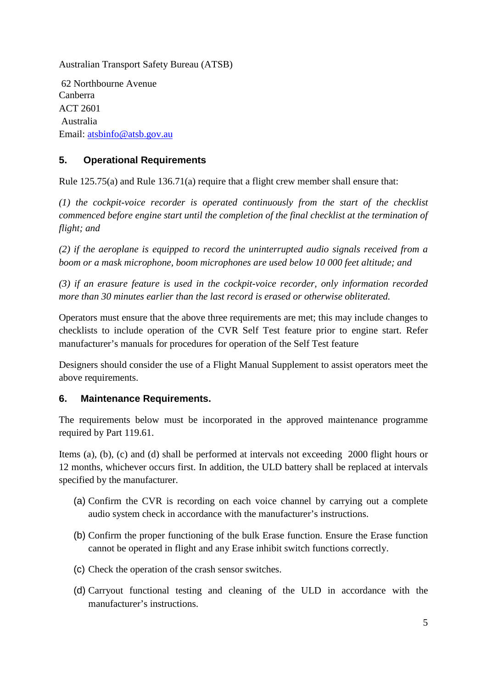Australian Transport Safety Bureau (ATSB)

62 Northbourne Avenue Canberra ACT 2601 Australia Email: [atsbinfo@atsb.gov.au](mailto:atsbinfo@atsb.gov.au)

#### **5. Operational Requirements**

Rule 125.75(a) and Rule 136.71(a) require that a flight crew member shall ensure that:

*(1) the cockpit-voice recorder is operated continuously from the start of the checklist commenced before engine start until the completion of the final checklist at the termination of flight; and*

*(2) if the aeroplane is equipped to record the uninterrupted audio signals received from a boom or a mask microphone, boom microphones are used below 10 000 feet altitude; and*

*(3) if an erasure feature is used in the cockpit-voice recorder, only information recorded more than 30 minutes earlier than the last record is erased or otherwise obliterated.*

Operators must ensure that the above three requirements are met; this may include changes to checklists to include operation of the CVR Self Test feature prior to engine start. Refer manufacturer's manuals for procedures for operation of the Self Test feature

Designers should consider the use of a Flight Manual Supplement to assist operators meet the above requirements.

#### **6. Maintenance Requirements.**

The requirements below must be incorporated in the approved maintenance programme required by Part 119.61.

Items (a), (b), (c) and (d) shall be performed at intervals not exceeding 2000 flight hours or 12 months, whichever occurs first. In addition, the ULD battery shall be replaced at intervals specified by the manufacturer.

- (a) Confirm the CVR is recording on each voice channel by carrying out a complete audio system check in accordance with the manufacturer's instructions.
- (b) Confirm the proper functioning of the bulk Erase function. Ensure the Erase function cannot be operated in flight and any Erase inhibit switch functions correctly.
- (c) Check the operation of the crash sensor switches.
- (d) Carryout functional testing and cleaning of the ULD in accordance with the manufacturer's instructions.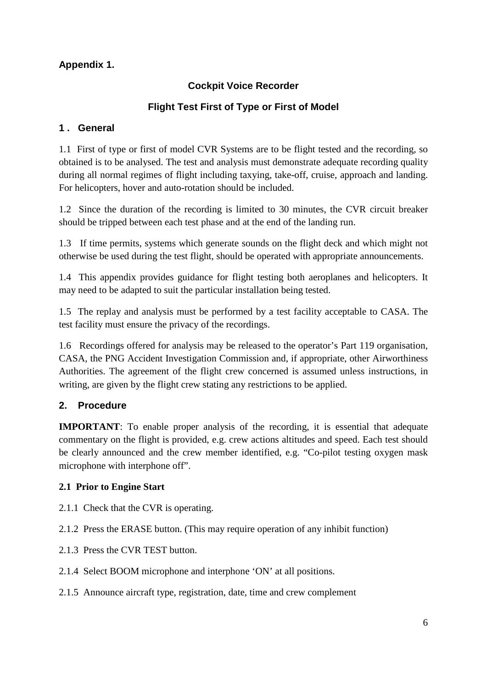#### **Appendix 1.**

#### **Cockpit Voice Recorder**

#### **Flight Test First of Type or First of Model**

#### **1 . General**

1.1 First of type or first of model CVR Systems are to be flight tested and the recording, so obtained is to be analysed. The test and analysis must demonstrate adequate recording quality during all normal regimes of flight including taxying, take-off, cruise, approach and landing. For helicopters, hover and auto-rotation should be included.

1.2 Since the duration of the recording is limited to 30 minutes, the CVR circuit breaker should be tripped between each test phase and at the end of the landing run.

1.3 If time permits, systems which generate sounds on the flight deck and which might not otherwise be used during the test flight, should be operated with appropriate announcements.

1.4 This appendix provides guidance for flight testing both aeroplanes and helicopters. It may need to be adapted to suit the particular installation being tested.

1.5 The replay and analysis must be performed by a test facility acceptable to CASA. The test facility must ensure the privacy of the recordings.

1.6 Recordings offered for analysis may be released to the operator's Part 119 organisation, CASA, the PNG Accident Investigation Commission and, if appropriate, other Airworthiness Authorities. The agreement of the flight crew concerned is assumed unless instructions, in writing, are given by the flight crew stating any restrictions to be applied.

#### **2. Procedure**

**IMPORTANT**: To enable proper analysis of the recording, it is essential that adequate commentary on the flight is provided, e.g. crew actions altitudes and speed. Each test should be clearly announced and the crew member identified, e.g. "Co-pilot testing oxygen mask microphone with interphone off".

#### **2.1 Prior to Engine Start**

- 2.1.1 Check that the CVR is operating.
- 2.1.2 Press the ERASE button. (This may require operation of any inhibit function)
- 2.1.3 Press the CVR TEST button.
- 2.1.4 Select BOOM microphone and interphone 'ON' at all positions.
- 2.1.5 Announce aircraft type, registration, date, time and crew complement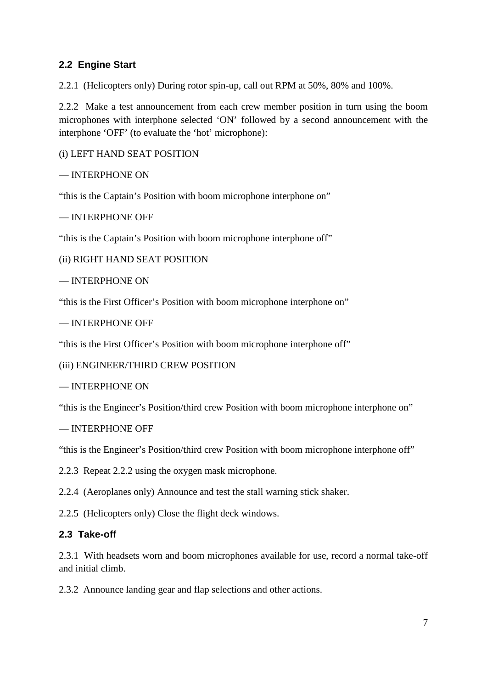#### **2.2 Engine Start**

2.2.1 (Helicopters only) During rotor spin-up, call out RPM at 50%, 80% and 100%.

2.2.2 Make a test announcement from each crew member position in turn using the boom microphones with interphone selected 'ON' followed by a second announcement with the interphone 'OFF' (to evaluate the 'hot' microphone):

(i) LEFT HAND SEAT POSITION

#### — INTERPHONE ON

"this is the Captain's Position with boom microphone interphone on"

#### — INTERPHONE OFF

"this is the Captain's Position with boom microphone interphone off"

(ii) RIGHT HAND SEAT POSITION

— INTERPHONE ON

"this is the First Officer's Position with boom microphone interphone on"

```
— INTERPHONE OFF
```
"this is the First Officer's Position with boom microphone interphone off"

(iii) ENGINEER/THIRD CREW POSITION

#### — INTERPHONE ON

"this is the Engineer's Position/third crew Position with boom microphone interphone on"

— INTERPHONE OFF

"this is the Engineer's Position/third crew Position with boom microphone interphone off"

2.2.3 Repeat 2.2.2 using the oxygen mask microphone.

2.2.4 (Aeroplanes only) Announce and test the stall warning stick shaker.

2.2.5 (Helicopters only) Close the flight deck windows.

#### **2.3 Take-off**

2.3.1 With headsets worn and boom microphones available for use, record a normal take-off and initial climb.

2.3.2 Announce landing gear and flap selections and other actions.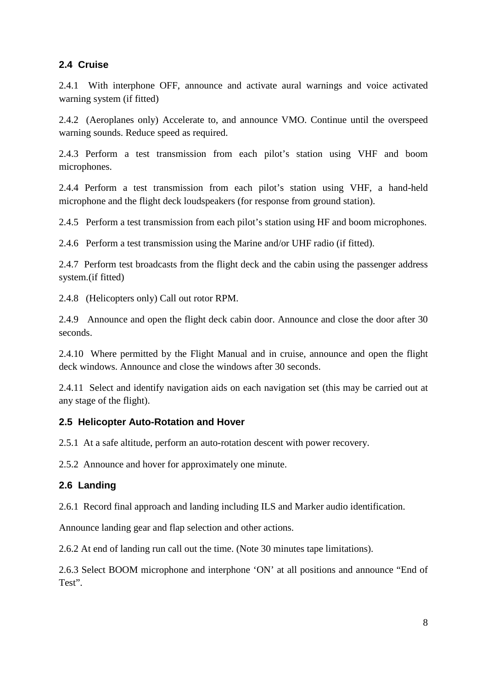#### **2.4 Cruise**

2.4.1 With interphone OFF, announce and activate aural warnings and voice activated warning system (if fitted)

2.4.2 (Aeroplanes only) Accelerate to, and announce VMO. Continue until the overspeed warning sounds. Reduce speed as required.

2.4.3 Perform a test transmission from each pilot's station using VHF and boom microphones.

2.4.4 Perform a test transmission from each pilot's station using VHF, a hand-held microphone and the flight deck loudspeakers (for response from ground station).

2.4.5 Perform a test transmission from each pilot's station using HF and boom microphones.

2.4.6 Perform a test transmission using the Marine and/or UHF radio (if fitted).

2.4.7 Perform test broadcasts from the flight deck and the cabin using the passenger address system.(if fitted)

2.4.8 (Helicopters only) Call out rotor RPM.

2.4.9 Announce and open the flight deck cabin door. Announce and close the door after 30 seconds.

2.4.10 Where permitted by the Flight Manual and in cruise, announce and open the flight deck windows. Announce and close the windows after 30 seconds.

2.4.11 Select and identify navigation aids on each navigation set (this may be carried out at any stage of the flight).

#### **2.5 Helicopter Auto-Rotation and Hover**

2.5.1 At a safe altitude, perform an auto-rotation descent with power recovery.

2.5.2 Announce and hover for approximately one minute.

#### **2.6 Landing**

2.6.1 Record final approach and landing including ILS and Marker audio identification.

Announce landing gear and flap selection and other actions.

2.6.2 At end of landing run call out the time. (Note 30 minutes tape limitations).

2.6.3 Select BOOM microphone and interphone 'ON' at all positions and announce "End of Test".